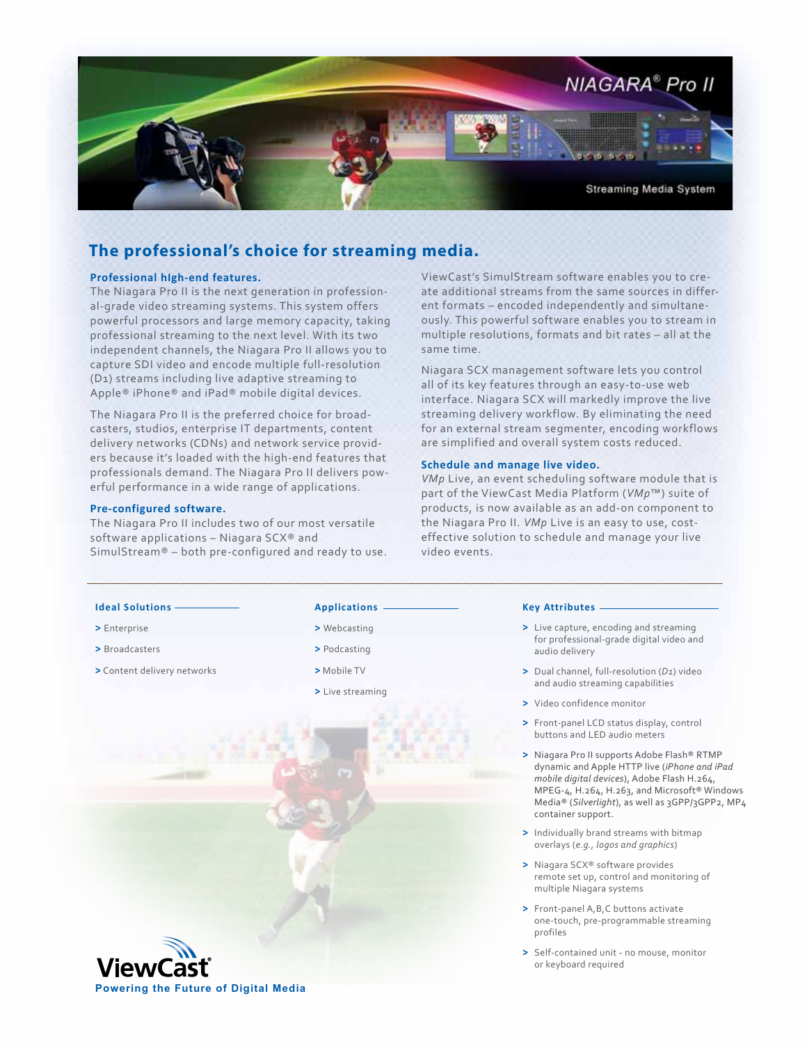

## **The professional's choice for streaming media.**

### **Professional hIgh-end features.**

The Niagara Pro II is the next generation in professional-grade video streaming systems. This system offers powerful processors and large memory capacity, taking professional streaming to the next level. With its two independent channels, the Niagara Pro II allows you to capture SDI video and encode multiple full-resolution (D1) streams including live adaptive streaming to Apple® iPhone® and iPad® mobile digital devices.

The Niagara Pro II is the preferred choice for broadcasters, studios, enterprise IT departments, content delivery networks (CDNs) and network service providers because it's loaded with the high-end features that professionals demand. The Niagara Pro II delivers powerful performance in a wide range of applications.

### **Pre-configured software.**

The Niagara Pro II includes two of our most versatile software applications – Niagara SCX® and SimulStream® – both pre-configured and ready to use. ViewCast's SimulStream software enables you to create additional streams from the same sources in different formats – encoded independently and simultaneously. This powerful software enables you to stream in multiple resolutions, formats and bit rates – all at the same time.

Niagara SCX management software lets you control all of its key features through an easy-to-use web interface. Niagara SCX will markedly improve the live streaming delivery workflow. By eliminating the need for an external stream segmenter, encoding workflows are simplified and overall system costs reduced.

### **Schedule and manage live video.**

*VMp* Live, an event scheduling software module that is part of the ViewCast Media Platform (*VMp*™) suite of products, is now available as an add-on component to the Niagara Pro II. *VMp* Live is an easy to use, costeffective solution to schedule and manage your live video events.

### **Ideal Solutions**

- **>** Enterprise
- **>** Broadcasters

**>** Content delivery networks

**Powering the Future of Digital Media**

## **Applications**

- **>** Webcasting
- **>** Podcasting
- **>** Mobile TV

**>** Live streaming

### **Key Attributes**

- **>** Live capture, encoding and streaming for professional-grade digital video and audio delivery
- **>** Dual channel, full-resolution (*D1*) video and audio streaming capabilities
- **>** Video confidence monitor
- **>** Front-panel LCD status display, control buttons and LED audio meters
- **>** Niagara Pro II supports Adobe Flash® RTMP dynamic and Apple HTTP live (*iPhone and iPad mobile digital devices*), Adobe Flash H.264, MPEG-4, H.264, H.263, and Microsoft® Windows Media® (*Silverlight*), as well as 3GPP/3GPP2, MP4 container support.
- **>** Individually brand streams with bitmap overlays (*e.g., logos and graphics*)
- **>** Niagara SCX® software provides remote set up, control and monitoring of multiple Niagara systems
- **>** Front-panel A,B,C buttons activate one-touch, pre-programmable streaming profiles
- **>** Self-contained unit no mouse, monitor or keyboard required